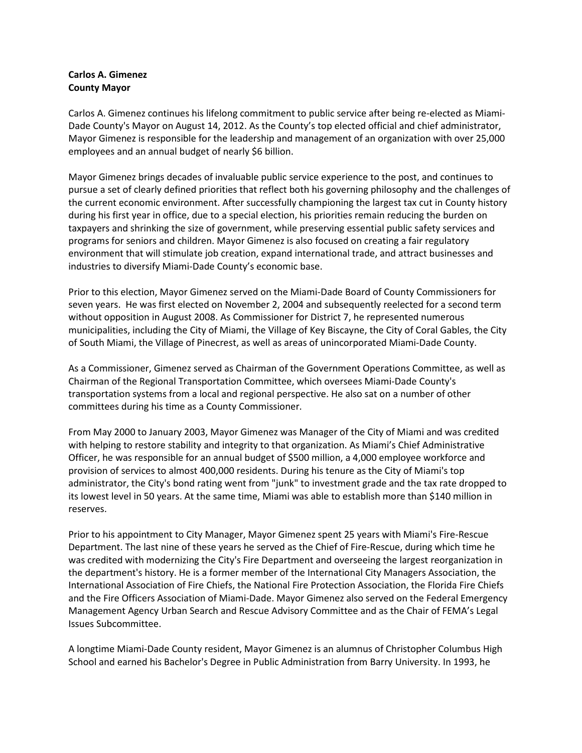## **Carlos A. Gimenez County Mayor**

Carlos A. Gimenez continues his lifelong commitment to public service after being re-elected as Miami-Dade County's Mayor on August 14, 2012. As the County's top elected official and chief administrator, Mayor Gimenez is responsible for the leadership and management of an organization with over 25,000 employees and an annual budget of nearly \$6 billion.

Mayor Gimenez brings decades of invaluable public service experience to the post, and continues to pursue a set of clearly defined priorities that reflect both his governing philosophy and the challenges of the current economic environment. After successfully championing the largest tax cut in County history during his first year in office, due to a special election, his priorities remain reducing the burden on taxpayers and shrinking the size of government, while preserving essential public safety services and programs for seniors and children. Mayor Gimenez is also focused on creating a fair regulatory environment that will stimulate job creation, expand international trade, and attract businesses and industries to diversify Miami-Dade County's economic base.

Prior to this election, Mayor Gimenez served on the Miami-Dade Board of County Commissioners for seven years. He was first elected on November 2, 2004 and subsequently reelected for a second term without opposition in August 2008. As Commissioner for District 7, he represented numerous municipalities, including the City of Miami, the Village of Key Biscayne, the City of Coral Gables, the City of South Miami, the Village of Pinecrest, as well as areas of unincorporated Miami-Dade County.

As a Commissioner, Gimenez served as Chairman of the Government Operations Committee, as well as Chairman of the Regional Transportation Committee, which oversees Miami-Dade County's transportation systems from a local and regional perspective. He also sat on a number of other committees during his time as a County Commissioner.

From May 2000 to January 2003, Mayor Gimenez was Manager of the City of Miami and was credited with helping to restore stability and integrity to that organization. As Miami's Chief Administrative Officer, he was responsible for an annual budget of \$500 million, a 4,000 employee workforce and provision of services to almost 400,000 residents. During his tenure as the City of Miami's top administrator, the City's bond rating went from "junk" to investment grade and the tax rate dropped to its lowest level in 50 years. At the same time, Miami was able to establish more than \$140 million in reserves.

Prior to his appointment to City Manager, Mayor Gimenez spent 25 years with Miami's Fire-Rescue Department. The last nine of these years he served as the Chief of Fire-Rescue, during which time he was credited with modernizing the City's Fire Department and overseeing the largest reorganization in the department's history. He is a former member of the International City Managers Association, the International Association of Fire Chiefs, the National Fire Protection Association, the Florida Fire Chiefs and the Fire Officers Association of Miami-Dade. Mayor Gimenez also served on the Federal Emergency Management Agency Urban Search and Rescue Advisory Committee and as the Chair of FEMA's Legal Issues Subcommittee.

A longtime Miami-Dade County resident, Mayor Gimenez is an alumnus of Christopher Columbus High School and earned his Bachelor's Degree in Public Administration from Barry University. In 1993, he